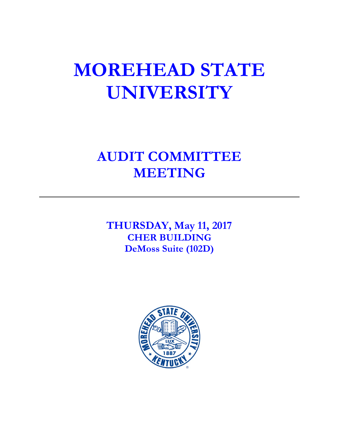# **MOREHEAD STATE UNIVERSITY**

# **AUDIT COMMITTEE MEETING**

**THURSDAY, May 11, 2017 CHER BUILDING DeMoss Suite (102D)**

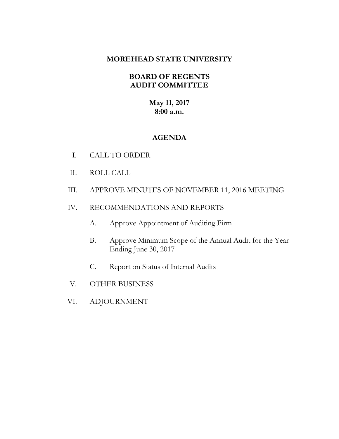# **MOREHEAD STATE UNIVERSITY**

# **BOARD OF REGENTS AUDIT COMMITTEE**

# **May 11, 2017 8:00 a.m.**

# **AGENDA**

- I. CALL TO ORDER
- II. ROLL CALL
- III. APPROVE MINUTES OF NOVEMBER 11, 2016 MEETING
- IV. RECOMMENDATIONS AND REPORTS
	- A. Approve Appointment of Auditing Firm
	- B. Approve Minimum Scope of the Annual Audit for the Year Ending June 30, 2017
	- C. Report on Status of Internal Audits
- V. OTHER BUSINESS
- VI. ADJOURNMENT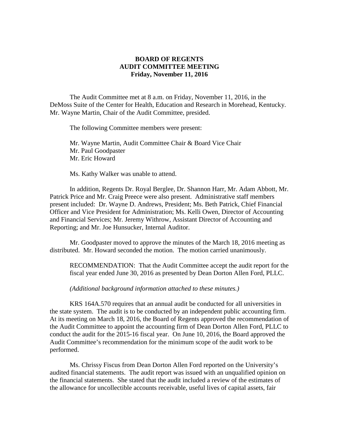#### **BOARD OF REGENTS AUDIT COMMITTEE MEETING Friday, November 11, 2016**

The Audit Committee met at 8 a.m. on Friday, November 11, 2016, in the DeMoss Suite of the Center for Health, Education and Research in Morehead, Kentucky. Mr. Wayne Martin, Chair of the Audit Committee, presided.

The following Committee members were present:

Mr. Wayne Martin, Audit Committee Chair & Board Vice Chair Mr. Paul Goodpaster Mr. Eric Howard

Ms. Kathy Walker was unable to attend.

In addition, Regents Dr. Royal Berglee, Dr. Shannon Harr, Mr. Adam Abbott, Mr. Patrick Price and Mr. Craig Preece were also present. Administrative staff members present included: Dr. Wayne D. Andrews, President; Ms. Beth Patrick, Chief Financial Officer and Vice President for Administration; Ms. Kelli Owen, Director of Accounting and Financial Services; Mr. Jeremy Withrow, Assistant Director of Accounting and Reporting; and Mr. Joe Hunsucker, Internal Auditor.

Mr. Goodpaster moved to approve the minutes of the March 18, 2016 meeting as distributed. Mr. Howard seconded the motion. The motion carried unanimously.

RECOMMENDATION: That the Audit Committee accept the audit report for the fiscal year ended June 30, 2016 as presented by Dean Dorton Allen Ford, PLLC.

*(Additional background information attached to these minutes.)*

KRS 164A.570 requires that an annual audit be conducted for all universities in the state system. The audit is to be conducted by an independent public accounting firm. At its meeting on March 18, 2016, the Board of Regents approved the recommendation of the Audit Committee to appoint the accounting firm of Dean Dorton Allen Ford, PLLC to conduct the audit for the 2015-16 fiscal year. On June 10, 2016, the Board approved the Audit Committee's recommendation for the minimum scope of the audit work to be performed.

Ms. Chrissy Fiscus from Dean Dorton Allen Ford reported on the University's audited financial statements. The audit report was issued with an unqualified opinion on the financial statements. She stated that the audit included a review of the estimates of the allowance for uncollectible accounts receivable, useful lives of capital assets, fair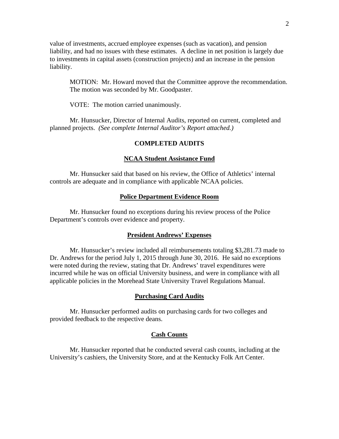value of investments, accrued employee expenses (such as vacation), and pension liability, and had no issues with these estimates. A decline in net position is largely due to investments in capital assets (construction projects) and an increase in the pension liability.

MOTION: Mr. Howard moved that the Committee approve the recommendation. The motion was seconded by Mr. Goodpaster.

VOTE: The motion carried unanimously.

Mr. Hunsucker, Director of Internal Audits, reported on current, completed and planned projects. *(See complete Internal Auditor's Report attached.)*

#### **COMPLETED AUDITS**

#### **NCAA Student Assistance Fund**

Mr. Hunsucker said that based on his review, the Office of Athletics' internal controls are adequate and in compliance with applicable NCAA policies.

#### **Police Department Evidence Room**

Mr. Hunsucker found no exceptions during his review process of the Police Department's controls over evidence and property.

#### **President Andrews' Expenses**

Mr. Hunsucker's review included all reimbursements totaling \$3,281.73 made to Dr. Andrews for the period July 1, 2015 through June 30, 2016. He said no exceptions were noted during the review, stating that Dr. Andrews' travel expenditures were incurred while he was on official University business, and were in compliance with all applicable policies in the Morehead State University Travel Regulations Manual.

#### **Purchasing Card Audits**

Mr. Hunsucker performed audits on purchasing cards for two colleges and provided feedback to the respective deans.

#### **Cash Counts**

Mr. Hunsucker reported that he conducted several cash counts, including at the University's cashiers, the University Store, and at the Kentucky Folk Art Center.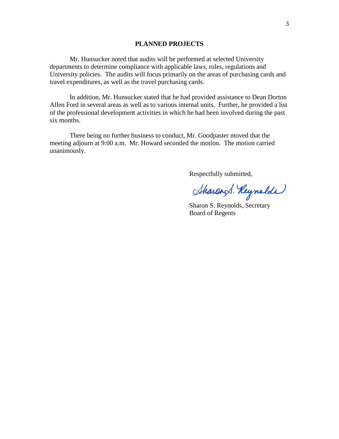#### **PLANNED PROJECTS**

Mr. Hunsucker noted that audits will be performed at selected University departments to determine compliance with applicable laws, rules, regulations and University policies. The audits will focus primarily on the areas of purchasing cards and travel expenditures, as well as the travel purchasing cards.

In addition, Mr. Hunsucker stated that he had provided assistance to Dean Dorton Allen Ford in several areas as well as to various internal units. Further, he provided a list of the professional development activities in which he had been involved during the past six months.

There being no further business to conduct, Mr. Goodpaster moved that the meeting adjourn at 9:00 a.m. Mr. Howard seconded the motion. The motion carried unanimously.

Respectfully submitted,

Sharand. Reynolde

Sharon S. Reynolds, Secretary Board of Regents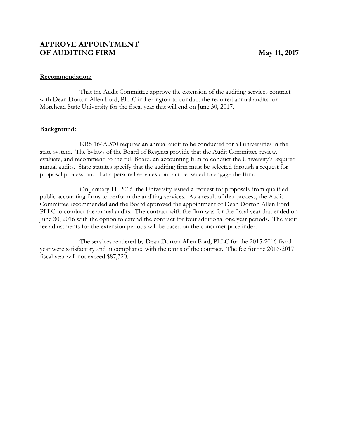#### **Recommendation:**

That the Audit Committee approve the extension of the auditing services contract with Dean Dorton Allen Ford, PLLC in Lexington to conduct the required annual audits for Morehead State University for the fiscal year that will end on June 30, 2017.

#### **Background:**

KRS 164A.570 requires an annual audit to be conducted for all universities in the state system. The bylaws of the Board of Regents provide that the Audit Committee review, evaluate, and recommend to the full Board, an accounting firm to conduct the University's required annual audits. State statutes specify that the auditing firm must be selected through a request for proposal process, and that a personal services contract be issued to engage the firm.

On January 11, 2016, the University issued a request for proposals from qualified public accounting firms to perform the auditing services. As a result of that process, the Audit Committee recommended and the Board approved the appointment of Dean Dorton Allen Ford, PLLC to conduct the annual audits. The contract with the firm was for the fiscal year that ended on June 30, 2016 with the option to extend the contract for four additional one year periods. The audit fee adjustments for the extension periods will be based on the consumer price index.

The services rendered by Dean Dorton Allen Ford, PLLC for the 2015-2016 fiscal year were satisfactory and in compliance with the terms of the contract. The fee for the 2016-2017 fiscal year will not exceed \$87,320.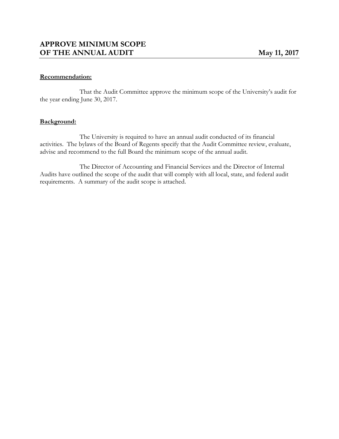#### **Recommendation:**

That the Audit Committee approve the minimum scope of the University's audit for the year ending June 30, 2017.

#### **Background:**

The University is required to have an annual audit conducted of its financial activities. The bylaws of the Board of Regents specify that the Audit Committee review, evaluate, advise and recommend to the full Board the minimum scope of the annual audit.

The Director of Accounting and Financial Services and the Director of Internal Audits have outlined the scope of the audit that will comply with all local, state, and federal audit requirements. A summary of the audit scope is attached.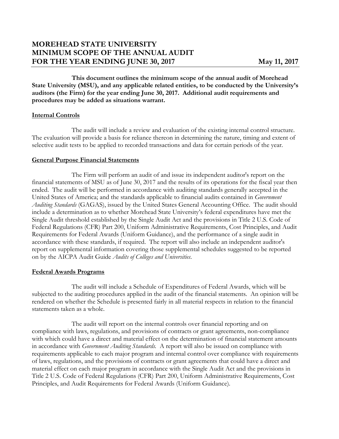# **MOREHEAD STATE UNIVERSITY MINIMUM SCOPE OF THE ANNUAL AUDIT FOR THE YEAR ENDING JUNE 30, 2017 May 11, 2017**

**This document outlines the minimum scope of the annual audit of Morehead State University (MSU), and any applicable related entities, to be conducted by the University's auditors (the Firm) for the year ending June 30, 2017. Additional audit requirements and procedures may be added as situations warrant.**

#### **Internal Controls**

The audit will include a review and evaluation of the existing internal control structure. The evaluation will provide a basis for reliance thereon in determining the nature, timing and extent of selective audit tests to be applied to recorded transactions and data for certain periods of the year.

#### **General Purpose Financial Statements**

The Firm will perform an audit of and issue its independent auditor's report on the financial statements of MSU as of June 30, 2017 and the results of its operations for the fiscal year then ended. The audit will be performed in accordance with auditing standards generally accepted in the United States of America; and the standards applicable to financial audits contained in *Government Auditing Standards* (GAGAS), issued by the United States General Accounting Office. The audit should include a determination as to whether Morehead State University's federal expenditures have met the Single Audit threshold established by the Single Audit Act and the provisions in Title 2 U.S. Code of Federal Regulations (CFR) Part 200, Uniform Administrative Requirements, Cost Principles, and Audit Requirements for Federal Awards (Uniform Guidance), and the performance of a single audit in accordance with these standards, if required. The report will also include an independent auditor's report on supplemental information covering those supplemental schedules suggested to be reported on by the AICPA Audit Guide *Audits of Colleges and Universities*.

#### **Federal Awards Programs**

The audit will include a Schedule of Expenditures of Federal Awards, which will be subjected to the auditing procedures applied in the audit of the financial statements. An opinion will be rendered on whether the Schedule is presented fairly in all material respects in relation to the financial statements taken as a whole.

The audit will report on the internal controls over financial reporting and on compliance with laws, regulations, and provisions of contracts or grant agreements, non-compliance with which could have a direct and material effect on the determination of financial statement amounts in accordance with *Government Auditing Standards.* A report will also be issued on compliance with requirements applicable to each major program and internal control over compliance with requirements of laws, regulations, and the provisions of contracts or grant agreements that could have a direct and material effect on each major program in accordance with the Single Audit Act and the provisions in Title 2 U.S. Code of Federal Regulations (CFR) Part 200, Uniform Administrative Requirements, Cost Principles, and Audit Requirements for Federal Awards (Uniform Guidance)*.*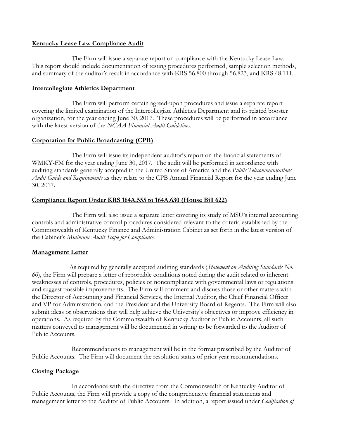#### **Kentucky Lease Law Compliance Audit**

The Firm will issue a separate report on compliance with the Kentucky Lease Law. This report should include documentation of testing procedures performed, sample selection methods, and summary of the auditor's result in accordance with KRS 56.800 through 56.823, and KRS 48.111.

#### **Intercollegiate Athletics Department**

The Firm will perform certain agreed-upon procedures and issue a separate report covering the limited examination of the Intercollegiate Athletics Department and its related booster organization, for the year ending June 30, 2017. These procedures will be performed in accordance with the latest version of the *NCAA Financial Audit Guidelines*.

#### **Corporation for Public Broadcasting (CPB)**

The Firm will issue its independent auditor's report on the financial statements of WMKY-FM for the year ending June 30, 2017. The audit will be performed in accordance with auditing standards generally accepted in the United States of America and the *Public Telecommunications Audit Guide and Requirements* as they relate to the CPB Annual Financial Report for the year ending June 30, 2017.

# **Compliance Report Under KRS 164A.555 to 164A.630 (House Bill 622)**

The Firm will also issue a separate letter covering its study of MSU's internal accounting controls and administrative control procedures considered relevant to the criteria established by the Commonwealth of Kentucky Finance and Administration Cabinet as set forth in the latest version of the Cabinet's *Minimum Audit Scope for Compliance*.

#### **Management Letter**

As required by generally accepted auditing standards (*Statement on Auditing Standards No. 60*), the Firm will prepare a letter of reportable conditions noted during the audit related to inherent weaknesses of controls, procedures, policies or noncompliance with governmental laws or regulations and suggest possible improvements. The Firm will comment and discuss those or other matters with the Director of Accounting and Financial Services, the Internal Auditor, the Chief Financial Officer and VP for Administration, and the President and the University Board of Regents. The Firm will also submit ideas or observations that will help achieve the University's objectives or improve efficiency in operations. As required by the Commonwealth of Kentucky Auditor of Public Accounts, all such matters conveyed to management will be documented in writing to be forwarded to the Auditor of Public Accounts.

Recommendations to management will be in the format prescribed by the Auditor of Public Accounts. The Firm will document the resolution status of prior year recommendations.

#### **Closing Package**

In accordance with the directive from the Commonwealth of Kentucky Auditor of Public Accounts, the Firm will provide a copy of the comprehensive financial statements and management letter to the Auditor of Public Accounts. In addition, a report issued under *Codification of*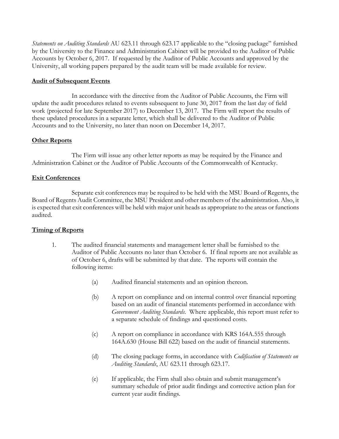*Statements on Auditing Standards* AU 623.11 through 623.17 applicable to the "closing package" furnished by the University to the Finance and Administration Cabinet will be provided to the Auditor of Public Accounts by October 6, 2017. If requested by the Auditor of Public Accounts and approved by the University, all working papers prepared by the audit team will be made available for review.

# **Audit of Subsequent Events**

In accordance with the directive from the Auditor of Public Accounts, the Firm will update the audit procedures related to events subsequent to June 30, 2017 from the last day of field work (projected for late September 2017) to December 13, 2017. The Firm will report the results of these updated procedures in a separate letter, which shall be delivered to the Auditor of Public Accounts and to the University, no later than noon on December 14, 2017.

# **Other Reports**

The Firm will issue any other letter reports as may be required by the Finance and Administration Cabinet or the Auditor of Public Accounts of the Commonwealth of Kentucky.

# **Exit Conferences**

Separate exit conferences may be required to be held with the MSU Board of Regents, the Board of Regents Audit Committee, the MSU President and other members of the administration. Also, it is expected that exit conferences will be held with major unit heads as appropriate to the areas or functions audited.

# **Timing of Reports**

- 1. The audited financial statements and management letter shall be furnished to the Auditor of Public Accounts no later than October 6. If final reports are not available as of October 6, drafts will be submitted by that date. The reports will contain the following items:
	- (a) Audited financial statements and an opinion thereon.
	- (b) A report on compliance and on internal control over financial reporting based on an audit of financial statements performed in accordance with *Government Auditing Standards*. Where applicable, this report must refer to a separate schedule of findings and questioned costs.
	- (c) A report on compliance in accordance with KRS 164A.555 through 164A.630 (House Bill 622) based on the audit of financial statements.
	- (d) The closing package forms, in accordance with *Codification of Statements on Auditing Standards*, AU 623.11 through 623.17.
	- (e) If applicable, the Firm shall also obtain and submit management's summary schedule of prior audit findings and corrective action plan for current year audit findings.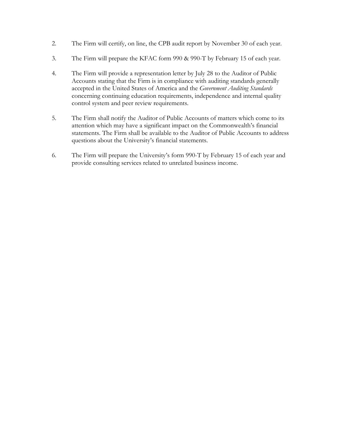- 2. The Firm will certify, on line, the CPB audit report by November 30 of each year.
- 3. The Firm will prepare the KFAC form 990 & 990-T by February 15 of each year.
- 4. The Firm will provide a representation letter by July 28 to the Auditor of Public Accounts stating that the Firm is in compliance with auditing standards generally accepted in the United States of America and the *Government Auditing Standards* concerning continuing education requirements, independence and internal quality control system and peer review requirements.
- 5. The Firm shall notify the Auditor of Public Accounts of matters which come to its attention which may have a significant impact on the Commonwealth's financial statements. The Firm shall be available to the Auditor of Public Accounts to address questions about the University's financial statements.
- 6. The Firm will prepare the University's form 990-T by February 15 of each year and provide consulting services related to unrelated business income.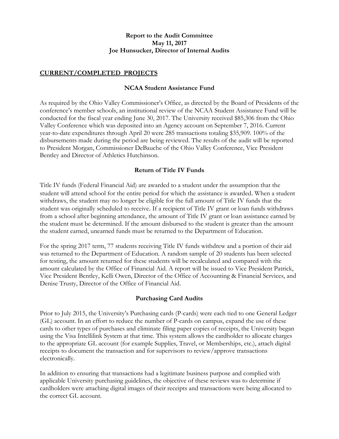# **Report to the Audit Committee May 11, 2017 Joe Hunsucker, Director of Internal Audits**

# **CURRENT/COMPLETED PROJECTS**

# **NCAA Student Assistance Fund**

As required by the Ohio Valley Commissioner's Office, as directed by the Board of Presidents of the conference's member schools, an institutional review of the NCAA Student Assistance Fund will be conducted for the fiscal year ending June 30, 2017. The University received \$85,306 from the Ohio Valley Conference which was deposited into an Agency account on September 7, 2016. Current year-to-date expenditures through April 20 were 285 transactions totaling \$35,909. 100% of the disbursements made during the period are being reviewed. The results of the audit will be reported to President Morgan, Commissioner DeBauche of the Ohio Valley Conference, Vice President Bentley and Director of Athletics Hutchinson.

# **Return of Title IV Funds**

Title IV funds (Federal Financial Aid) are awarded to a student under the assumption that the student will attend school for the entire period for which the assistance is awarded. When a student withdraws, the student may no longer be eligible for the full amount of Title IV funds that the student was originally scheduled to receive. If a recipient of Title IV grant or loan funds withdraws from a school after beginning attendance, the amount of Title IV grant or loan assistance earned by the student must be determined. If the amount disbursed to the student is greater than the amount the student earned, unearned funds must be returned to the Department of Education.

For the spring 2017 term, 77 students receiving Title IV funds withdrew and a portion of their aid was returned to the Department of Education. A random sample of 20 students has been selected for testing, the amount returned for these students will be recalculated and compared with the amount calculated by the Office of Financial Aid. A report will be issued to Vice President Patrick, Vice President Bentley, Kelli Owen, Director of the Office of Accounting & Financial Services, and Denise Trusty, Director of the Office of Financial Aid.

#### **Purchasing Card Audits**

Prior to July 2015, the University's Purchasing cards (P-cards) were each tied to one General Ledger (GL) account. In an effort to reduce the number of P-cards on campus, expand the use of these cards to other types of purchases and eliminate filing paper copies of receipts, the University began using the Visa Intellilink System at that time. This system allows the cardholder to allocate charges to the appropriate GL account (for example Supplies, Travel, or Memberships, etc.), attach digital receipts to document the transaction and for supervisors to review/approve transactions electronically.

In addition to ensuring that transactions had a legitimate business purpose and complied with applicable University purchasing guidelines, the objective of these reviews was to determine if cardholders were attaching digital images of their receipts and transactions were being allocated to the correct GL account.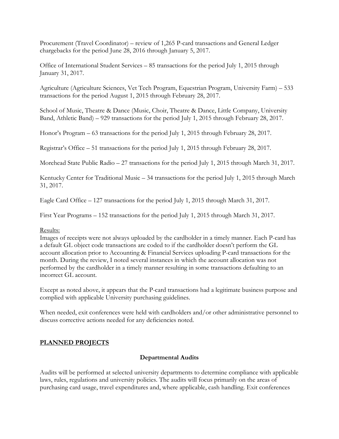Procurement (Travel Coordinator) – review of 1,265 P-card transactions and General Ledger chargebacks for the period June 28, 2016 through January 5, 2017.

Office of International Student Services – 85 transactions for the period July 1, 2015 through January 31, 2017.

Agriculture (Agriculture Sciences, Vet Tech Program, Equestrian Program, University Farm) – 533 transactions for the period August 1, 2015 through February 28, 2017.

School of Music, Theatre & Dance (Music, Choir, Theatre & Dance, Little Company, University Band, Athletic Band) – 929 transactions for the period July 1, 2015 through February 28, 2017.

Honor's Program – 63 transactions for the period July 1, 2015 through February 28, 2017.

Registrar's Office – 51 transactions for the period July 1, 2015 through February 28, 2017.

Morehead State Public Radio – 27 transactions for the period July 1, 2015 through March 31, 2017.

Kentucky Center for Traditional Music – 34 transactions for the period July 1, 2015 through March 31, 2017.

Eagle Card Office – 127 transactions for the period July 1, 2015 through March 31, 2017.

First Year Programs – 152 transactions for the period July 1, 2015 through March 31, 2017.

#### Results:

Images of receipts were not always uploaded by the cardholder in a timely manner. Each P-card has a default GL object code transactions are coded to if the cardholder doesn't perform the GL account allocation prior to Accounting & Financial Services uploading P-card transactions for the month. During the review, I noted several instances in which the account allocation was not performed by the cardholder in a timely manner resulting in some transactions defaulting to an incorrect GL account.

Except as noted above, it appears that the P-card transactions had a legitimate business purpose and complied with applicable University purchasing guidelines.

When needed, exit conferences were held with cardholders and/or other administrative personnel to discuss corrective actions needed for any deficiencies noted.

# **PLANNED PROJECTS**

# **Departmental Audits**

Audits will be performed at selected university departments to determine compliance with applicable laws, rules, regulations and university policies. The audits will focus primarily on the areas of purchasing card usage, travel expenditures and, where applicable, cash handling. Exit conferences